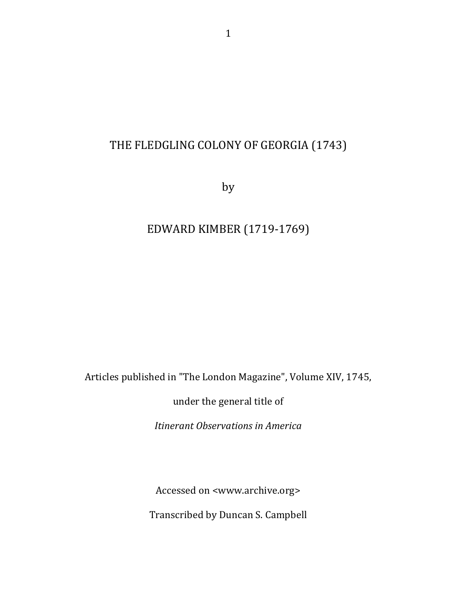## THE FLEDGLING COLONY OF GEORGIA (1743)

by

## EDWARD KIMBER (1719-1769)

Articles published in "The London Magazine", Volume XIV, 1745,

under the general title of

*Itinerant Observations in America*

Accessed on <www.archive.org>

Transcribed by Duncan S. Campbell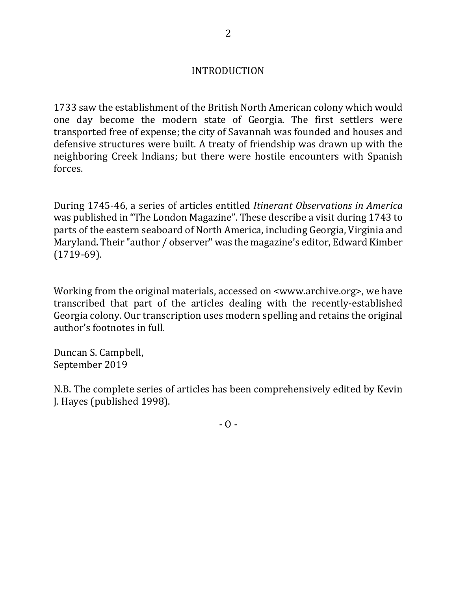## INTRODUCTION

1733 saw the establishment of the British North American colony which would one day become the modern state of Georgia. The first settlers were transported free of expense; the city of Savannah was founded and houses and defensive structures were built. A treaty of friendship was drawn up with the neighboring Creek Indians; but there were hostile encounters with Spanish forces. 

During 1745-46, a series of articles entitled *Itinerant Observations in America* was published in "The London Magazine". These describe a visit during 1743 to parts of the eastern seaboard of North America, including Georgia, Virginia and Maryland. Their "author / observer" was the magazine's editor, Edward Kimber (1719-69).

Working from the original materials, accessed on  $\leq$ www.archive.org>, we have transcribed that part of the articles dealing with the recently-established Georgia colony. Our transcription uses modern spelling and retains the original author's footnotes in full.

Duncan S. Campbell, September 2019

N.B. The complete series of articles has been comprehensively edited by Kevin J. Hayes (published 1998).

 $-$  O  $-$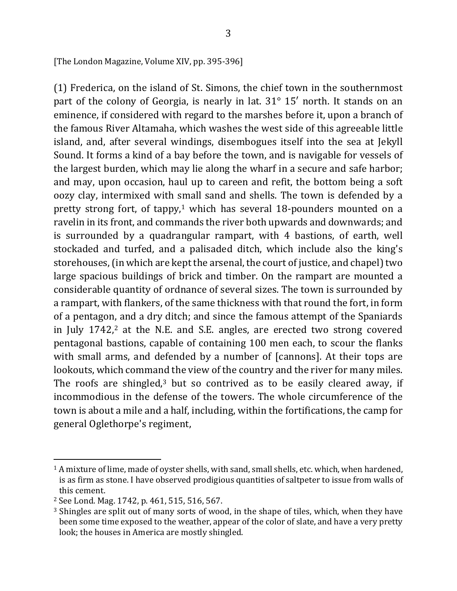[The London Magazine, Volume XIV, pp. 395-396]

(1) Frederica, on the island of St. Simons, the chief town in the southernmost part of the colony of Georgia, is nearly in lat.  $31^\circ$  15' north. It stands on an eminence, if considered with regard to the marshes before it, upon a branch of the famous River Altamaha, which washes the west side of this agreeable little island, and, after several windings, disembogues itself into the sea at Jekyll Sound. It forms a kind of a bay before the town, and is navigable for vessels of the largest burden, which may lie along the wharf in a secure and safe harbor; and may, upon occasion, haul up to careen and refit, the bottom being a soft oozy clay, intermixed with small sand and shells. The town is defended by a pretty strong fort, of tappy,<sup>1</sup> which has several 18-pounders mounted on a ravelin in its front, and commands the river both upwards and downwards; and is surrounded by a quadrangular rampart, with 4 bastions, of earth, well stockaded and turfed, and a palisaded ditch, which include also the king's storehouses, (in which are kept the arsenal, the court of justice, and chapel) two large spacious buildings of brick and timber. On the rampart are mounted a considerable quantity of ordnance of several sizes. The town is surrounded by a rampart, with flankers, of the same thickness with that round the fort, in form of a pentagon, and a dry ditch; and since the famous attempt of the Spaniards in July  $1742$ ,<sup>2</sup> at the N.E. and S.E. angles, are erected two strong covered pentagonal bastions, capable of containing 100 men each, to scour the flanks with small arms, and defended by a number of [cannons]. At their tops are lookouts, which command the view of the country and the river for many miles. The roofs are shingled,<sup>3</sup> but so contrived as to be easily cleared away, if incommodious in the defense of the towers. The whole circumference of the town is about a mile and a half, including, within the fortifications, the camp for general Oglethorpe's regiment,

 $1$  A mixture of lime, made of oyster shells, with sand, small shells, etc. which, when hardened, is as firm as stone. I have observed prodigious quantities of saltpeter to issue from walls of this cement.

<sup>&</sup>lt;sup>2</sup> See Lond. Mag. 1742, p. 461, 515, 516, 567.

<sup>&</sup>lt;sup>3</sup> Shingles are split out of many sorts of wood, in the shape of tiles, which, when they have been some time exposed to the weather, appear of the color of slate, and have a very pretty look; the houses in America are mostly shingled.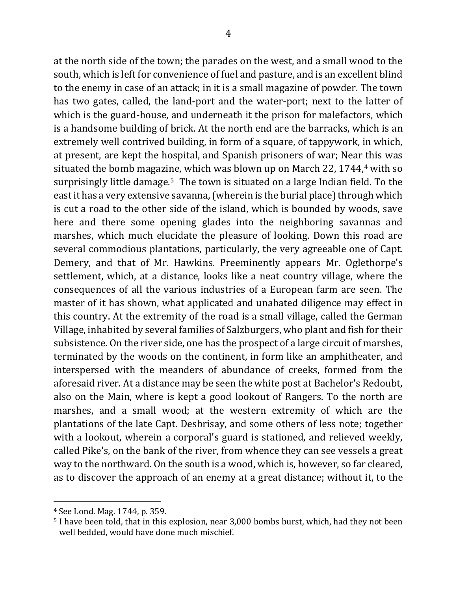at the north side of the town; the parades on the west, and a small wood to the south, which is left for convenience of fuel and pasture, and is an excellent blind to the enemy in case of an attack; in it is a small magazine of powder. The town has two gates, called, the land-port and the water-port; next to the latter of which is the guard-house, and underneath it the prison for malefactors, which is a handsome building of brick. At the north end are the barracks, which is an extremely well contrived building, in form of a square, of tappywork, in which, at present, are kept the hospital, and Spanish prisoners of war; Near this was situated the bomb magazine, which was blown up on March 22, 1744, $4$  with so surprisingly little damage.<sup>5</sup> The town is situated on a large Indian field. To the east it has a very extensive savanna, (wherein is the burial place) through which is cut a road to the other side of the island, which is bounded by woods, save here and there some opening glades into the neighboring savannas and marshes, which much elucidate the pleasure of looking. Down this road are several commodious plantations, particularly, the very agreeable one of Capt. Demery, and that of Mr. Hawkins. Preeminently appears Mr. Oglethorpe's settlement, which, at a distance, looks like a neat country village, where the consequences of all the various industries of a European farm are seen. The master of it has shown, what applicated and unabated diligence may effect in this country. At the extremity of the road is a small village, called the German Village, inhabited by several families of Salzburgers, who plant and fish for their subsistence. On the river side, one has the prospect of a large circuit of marshes, terminated by the woods on the continent, in form like an amphitheater, and interspersed with the meanders of abundance of creeks, formed from the aforesaid river. At a distance may be seen the white post at Bachelor's Redoubt, also on the Main, where is kept a good lookout of Rangers. To the north are marshes, and a small wood; at the western extremity of which are the plantations of the late Capt. Desbrisay, and some others of less note; together with a lookout, wherein a corporal's guard is stationed, and relieved weekly, called Pike's, on the bank of the river, from whence they can see vessels a great way to the northward. On the south is a wood, which is, however, so far cleared, as to discover the approach of an enemy at a great distance; without it, to the

<sup>&</sup>lt;sup>4</sup> See Lond. Mag. 1744, p. 359.

 $5$  I have been told, that in this explosion, near 3,000 bombs burst, which, had they not been well bedded, would have done much mischief.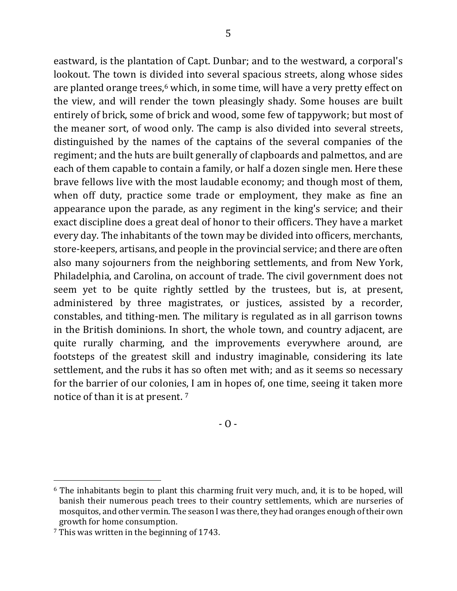eastward, is the plantation of Capt. Dunbar; and to the westward, a corporal's lookout. The town is divided into several spacious streets, along whose sides are planted orange trees,<sup>6</sup> which, in some time, will have a very pretty effect on the view, and will render the town pleasingly shady. Some houses are built entirely of brick, some of brick and wood, some few of tappywork; but most of the meaner sort, of wood only. The camp is also divided into several streets, distinguished by the names of the captains of the several companies of the regiment; and the huts are built generally of clapboards and palmettos, and are each of them capable to contain a family, or half a dozen single men. Here these brave fellows live with the most laudable economy; and though most of them, when off duty, practice some trade or employment, they make as fine an appearance upon the parade, as any regiment in the king's service; and their exact discipline does a great deal of honor to their officers. They have a market every day. The inhabitants of the town may be divided into officers, merchants, store-keepers, artisans, and people in the provincial service; and there are often also many sojourners from the neighboring settlements, and from New York, Philadelphia, and Carolina, on account of trade. The civil government does not seem yet to be quite rightly settled by the trustees, but is, at present, administered by three magistrates, or justices, assisted by a recorder, constables, and tithing-men. The military is regulated as in all garrison towns in the British dominions. In short, the whole town, and country adjacent, are quite rurally charming, and the improvements everywhere around, are footsteps of the greatest skill and industry imaginable, considering its late settlement, and the rubs it has so often met with; and as it seems so necessary for the barrier of our colonies, I am in hopes of, one time, seeing it taken more notice of than it is at present.<sup>7</sup>

 $- 0 -$ 

 $6$  The inhabitants begin to plant this charming fruit very much, and, it is to be hoped, will banish their numerous peach trees to their country settlements, which are nurseries of mosquitos, and other vermin. The season I was there, they had oranges enough of their own growth for home consumption.

 $7$  This was written in the beginning of 1743.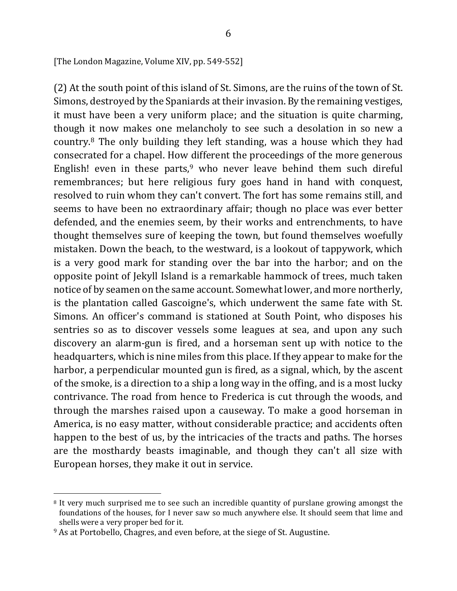[The London Magazine, Volume XIV, pp. 549-552]

(2) At the south point of this island of St. Simons, are the ruins of the town of St. Simons, destroyed by the Spaniards at their invasion. By the remaining vestiges, it must have been a very uniform place; and the situation is quite charming, though it now makes one melancholy to see such a desolation in so new a country. $8$  The only building they left standing, was a house which they had consecrated for a chapel. How different the proceedings of the more generous English! even in these parts,<sup>9</sup> who never leave behind them such direful remembrances; but here religious fury goes hand in hand with conquest, resolved to ruin whom they can't convert. The fort has some remains still, and seems to have been no extraordinary affair; though no place was ever better defended, and the enemies seem, by their works and entrenchments, to have thought themselves sure of keeping the town, but found themselves woefully mistaken. Down the beach, to the westward, is a lookout of tappywork, which is a very good mark for standing over the bar into the harbor; and on the opposite point of Jekyll Island is a remarkable hammock of trees, much taken notice of by seamen on the same account. Somewhat lower, and more northerly, is the plantation called Gascoigne's, which underwent the same fate with St. Simons. An officer's command is stationed at South Point, who disposes his sentries so as to discover vessels some leagues at sea, and upon any such discovery an alarm-gun is fired, and a horseman sent up with notice to the headquarters, which is nine miles from this place. If they appear to make for the harbor, a perpendicular mounted gun is fired, as a signal, which, by the ascent of the smoke, is a direction to a ship a long way in the offing, and is a most lucky contrivance. The road from hence to Frederica is cut through the woods, and through the marshes raised upon a causeway. To make a good horseman in America, is no easy matter, without considerable practice; and accidents often happen to the best of us, by the intricacies of the tracts and paths. The horses are the mosthardy beasts imaginable, and though they can't all size with European horses, they make it out in service.

 $\overline{\phantom{a}}$ 

<sup>&</sup>lt;sup>8</sup> It very much surprised me to see such an incredible quantity of purslane growing amongst the foundations of the houses, for I never saw so much anywhere else. It should seem that lime and shells were a very proper bed for it.

<sup>&</sup>lt;sup>9</sup> As at Portobello, Chagres, and even before, at the siege of St. Augustine.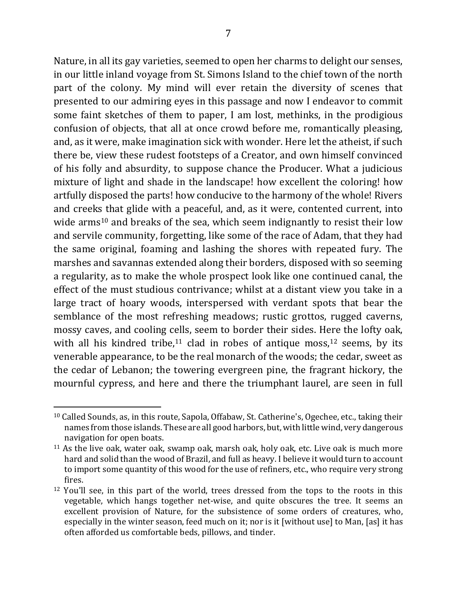Nature, in all its gay varieties, seemed to open her charms to delight our senses, in our little inland voyage from St. Simons Island to the chief town of the north part of the colony. My mind will ever retain the diversity of scenes that presented to our admiring eyes in this passage and now I endeavor to commit some faint sketches of them to paper, I am lost, methinks, in the prodigious confusion of objects, that all at once crowd before me, romantically pleasing, and, as it were, make imagination sick with wonder. Here let the atheist, if such there be, view these rudest footsteps of a Creator, and own himself convinced of his folly and absurdity, to suppose chance the Producer. What a judicious mixture of light and shade in the landscape! how excellent the coloring! how artfully disposed the parts! how conducive to the harmony of the whole! Rivers and creeks that glide with a peaceful, and, as it were, contented current, into wide arms<sup>10</sup> and breaks of the sea, which seem indignantly to resist their low and servile community, forgetting, like some of the race of Adam, that they had the same original, foaming and lashing the shores with repeated fury. The marshes and savannas extended along their borders, disposed with so seeming a regularity, as to make the whole prospect look like one continued canal, the effect of the must studious contrivance; whilst at a distant view you take in a large tract of hoary woods, interspersed with verdant spots that bear the semblance of the most refreshing meadows; rustic grottos, rugged caverns, mossy caves, and cooling cells, seem to border their sides. Here the lofty oak, with all his kindred tribe,<sup>11</sup> clad in robes of antique moss,<sup>12</sup> seems, by its venerable appearance, to be the real monarch of the woods; the cedar, sweet as the cedar of Lebanon; the towering evergreen pine, the fragrant hickory, the mournful cypress, and here and there the triumphant laurel, are seen in full

<sup>&</sup>lt;sup>10</sup> Called Sounds, as, in this route, Sapola, Offabaw, St. Catherine's, Ogechee, etc., taking their names from those islands. These are all good harbors, but, with little wind, very dangerous navigation for open boats.

 $11$  As the live oak, water oak, swamp oak, marsh oak, holy oak, etc. Live oak is much more hard and solid than the wood of Brazil, and full as heavy. I believe it would turn to account to import some quantity of this wood for the use of refiners, etc., who require very strong fires.

 $12$  You'll see, in this part of the world, trees dressed from the tops to the roots in this vegetable, which hangs together net-wise, and quite obscures the tree. It seems an excellent provision of Nature, for the subsistence of some orders of creatures, who, especially in the winter season, feed much on it; nor is it [without use] to Man, [as] it has often afforded us comfortable beds, pillows, and tinder.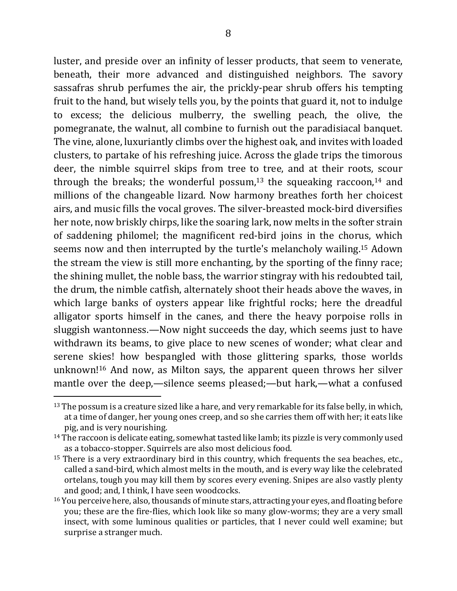luster, and preside over an infinity of lesser products, that seem to venerate, beneath, their more advanced and distinguished neighbors. The savory sassafras shrub perfumes the air, the prickly-pear shrub offers his tempting fruit to the hand, but wisely tells you, by the points that guard it, not to indulge to excess; the delicious mulberry, the swelling peach, the olive, the pomegranate, the walnut, all combine to furnish out the paradisiacal banquet. The vine, alone, luxuriantly climbs over the highest oak, and invites with loaded clusters, to partake of his refreshing juice. Across the glade trips the timorous deer, the nimble squirrel skips from tree to tree, and at their roots, scour through the breaks; the wonderful possum,<sup>13</sup> the squeaking raccoon,<sup>14</sup> and millions of the changeable lizard. Now harmony breathes forth her choicest airs, and music fills the vocal groves. The silver-breasted mock-bird diversifies her note, now briskly chirps, like the soaring lark, now melts in the softer strain of saddening philomel; the magnificent red-bird joins in the chorus, which seems now and then interrupted by the turtle's melancholy wailing.<sup>15</sup> Adown the stream the view is still more enchanting, by the sporting of the finny race; the shining mullet, the noble bass, the warrior stingray with his redoubted tail, the drum, the nimble catfish, alternately shoot their heads above the waves, in which large banks of oysters appear like frightful rocks; here the dreadful alligator sports himself in the canes, and there the heavy porpoise rolls in sluggish wantonness.—Now night succeeds the day, which seems just to have withdrawn its beams, to give place to new scenes of wonder; what clear and serene skies! how bespangled with those glittering sparks, those worlds unknown!<sup>16</sup> And now, as Milton says, the apparent queen throws her silver mantle over the deep,—silence seems pleased;—but hark,—what a confused

 $13$  The possum is a creature sized like a hare, and very remarkable for its false belly, in which, at a time of danger, her young ones creep, and so she carries them off with her; it eats like pig, and is very nourishing.

<sup>&</sup>lt;sup>14</sup> The raccoon is delicate eating, somewhat tasted like lamb; its pizzle is very commonly used as a tobacco-stopper. Squirrels are also most delicious food.

 $15$  There is a very extraordinary bird in this country, which frequents the sea beaches, etc., called a sand-bird, which almost melts in the mouth, and is every way like the celebrated ortelans, tough you may kill them by scores every evening. Snipes are also vastly plenty and good; and, I think, I have seen woodcocks.

<sup>&</sup>lt;sup>16</sup> You perceive here, also, thousands of minute stars, attracting your eyes, and floating before you; these are the fire-flies, which look like so many glow-worms; they are a very small insect, with some luminous qualities or particles, that I never could well examine; but surprise a stranger much.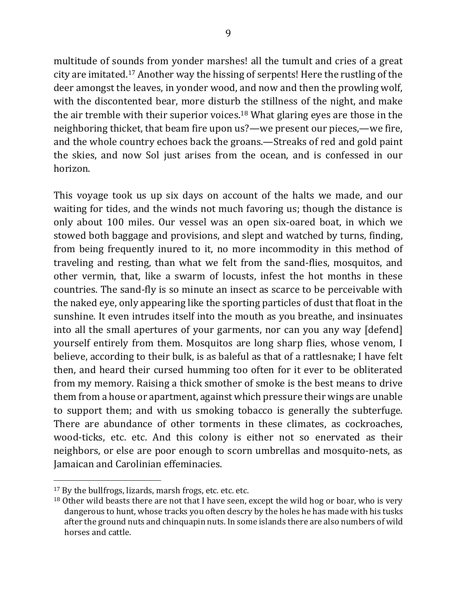multitude of sounds from yonder marshes! all the tumult and cries of a great city are imitated.<sup>17</sup> Another way the hissing of serpents! Here the rustling of the deer amongst the leaves, in yonder wood, and now and then the prowling wolf, with the discontented bear, more disturb the stillness of the night, and make the air tremble with their superior voices.<sup>18</sup> What glaring eyes are those in the neighboring thicket, that beam fire upon us?—we present our pieces,—we fire, and the whole country echoes back the groans.—Streaks of red and gold paint the skies, and now Sol just arises from the ocean, and is confessed in our horizon.

This voyage took us up six days on account of the halts we made, and our waiting for tides, and the winds not much favoring us; though the distance is only about 100 miles. Our vessel was an open six-oared boat, in which we stowed both baggage and provisions, and slept and watched by turns, finding, from being frequently inured to it, no more incommodity in this method of traveling and resting, than what we felt from the sand-flies, mosquitos, and other vermin, that, like a swarm of locusts, infest the hot months in these countries. The sand-fly is so minute an insect as scarce to be perceivable with the naked eye, only appearing like the sporting particles of dust that float in the sunshine. It even intrudes itself into the mouth as you breathe, and insinuates into all the small apertures of your garments, nor can you any way [defend] yourself entirely from them. Mosquitos are long sharp flies, whose venom, I believe, according to their bulk, is as baleful as that of a rattlesnake; I have felt then, and heard their cursed humming too often for it ever to be obliterated from my memory. Raising a thick smother of smoke is the best means to drive them from a house or apartment, against which pressure their wings are unable to support them; and with us smoking tobacco is generally the subterfuge. There are abundance of other torments in these climates, as cockroaches, wood-ticks, etc. etc. And this colony is either not so enervated as their neighbors, or else are poor enough to scorn umbrellas and mosquito-nets, as Jamaican and Carolinian effeminacies.

 $17$  By the bullfrogs, lizards, marsh frogs, etc. etc. etc.

 $18$  Other wild beasts there are not that I have seen, except the wild hog or boar, who is very dangerous to hunt, whose tracks you often descry by the holes he has made with his tusks after the ground nuts and chinquapin nuts. In some islands there are also numbers of wild horses and cattle.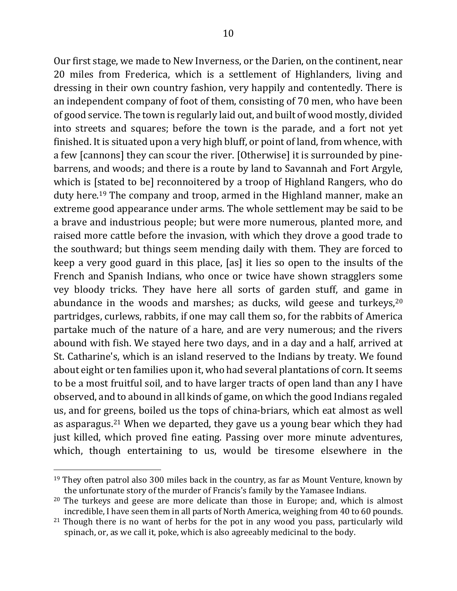Our first stage, we made to New Inverness, or the Darien, on the continent, near 20 miles from Frederica, which is a settlement of Highlanders, living and dressing in their own country fashion, very happily and contentedly. There is an independent company of foot of them, consisting of 70 men, who have been of good service. The town is regularly laid out, and built of wood mostly, divided into streets and squares; before the town is the parade, and a fort not yet finished. It is situated upon a very high bluff, or point of land, from whence, with a few [cannons] they can scour the river. [Otherwise] it is surrounded by pinebarrens, and woods; and there is a route by land to Savannah and Fort Argyle, which is [stated to be] reconnoitered by a troop of Highland Rangers, who do duty here.<sup>19</sup> The company and troop, armed in the Highland manner, make an extreme good appearance under arms. The whole settlement may be said to be a brave and industrious people; but were more numerous, planted more, and raised more cattle before the invasion, with which they drove a good trade to the southward; but things seem mending daily with them. They are forced to keep a very good guard in this place, [as] it lies so open to the insults of the French and Spanish Indians, who once or twice have shown stragglers some vey bloody tricks. They have here all sorts of garden stuff, and game in abundance in the woods and marshes; as ducks, wild geese and turkeys, $20$ partridges, curlews, rabbits, if one may call them so, for the rabbits of America partake much of the nature of a hare, and are very numerous; and the rivers abound with fish. We stayed here two days, and in a day and a half, arrived at St. Catharine's, which is an island reserved to the Indians by treaty. We found about eight or ten families upon it, who had several plantations of corn. It seems to be a most fruitful soil, and to have larger tracts of open land than any I have observed, and to abound in all kinds of game, on which the good Indians regaled us, and for greens, boiled us the tops of china-briars, which eat almost as well as asparagus.<sup>21</sup> When we departed, they gave us a young bear which they had just killed, which proved fine eating. Passing over more minute adventures, which, though entertaining to us, would be tiresome elsewhere in the

 $19$  They often patrol also 300 miles back in the country, as far as Mount Venture, known by the unfortunate story of the murder of Francis's family by the Yamasee Indians.

 $20$  The turkeys and geese are more delicate than those in Europe; and, which is almost incredible, I have seen them in all parts of North America, weighing from 40 to 60 pounds.

 $21$  Though there is no want of herbs for the pot in any wood you pass, particularly wild spinach, or, as we call it, poke, which is also agreeably medicinal to the body.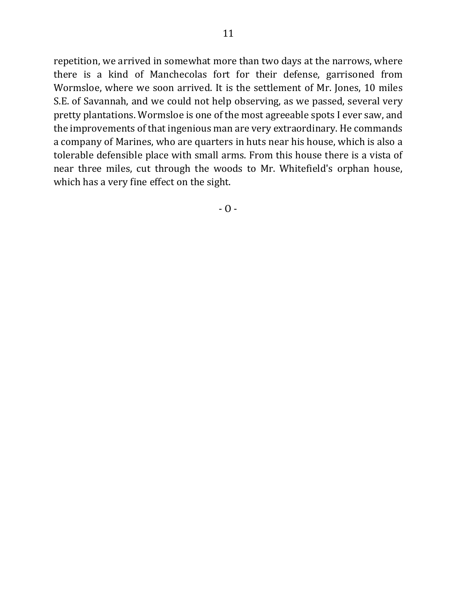repetition, we arrived in somewhat more than two days at the narrows, where there is a kind of Manchecolas fort for their defense, garrisoned from Wormsloe, where we soon arrived. It is the settlement of Mr. Jones, 10 miles S.E. of Savannah, and we could not help observing, as we passed, several very pretty plantations. Wormsloe is one of the most agreeable spots I ever saw, and the improvements of that ingenious man are very extraordinary. He commands a company of Marines, who are quarters in huts near his house, which is also a tolerable defensible place with small arms. From this house there is a vista of near three miles, cut through the woods to Mr. Whitefield's orphan house, which has a very fine effect on the sight.

 $- 0 -$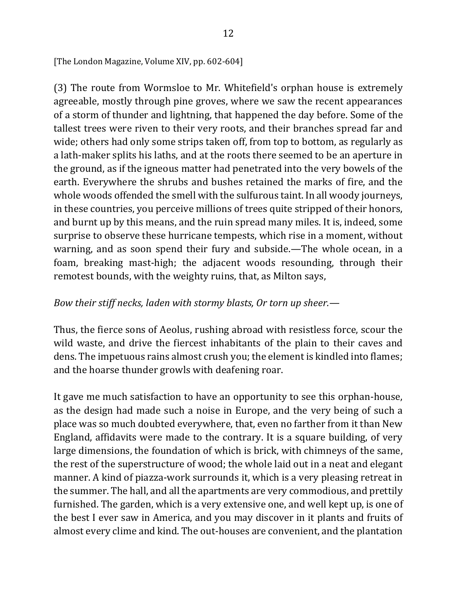[The London Magazine, Volume XIV, pp. 602-604]

(3) The route from Wormsloe to Mr. Whitefield's orphan house is extremely agreeable, mostly through pine groves, where we saw the recent appearances of a storm of thunder and lightning, that happened the day before. Some of the tallest trees were riven to their very roots, and their branches spread far and wide; others had only some strips taken off, from top to bottom, as regularly as a lath-maker splits his laths, and at the roots there seemed to be an aperture in the ground, as if the igneous matter had penetrated into the very bowels of the earth. Everywhere the shrubs and bushes retained the marks of fire, and the whole woods offended the smell with the sulfurous taint. In all woody journeys, in these countries, you perceive millions of trees quite stripped of their honors, and burnt up by this means, and the ruin spread many miles. It is, indeed, some surprise to observe these hurricane tempests, which rise in a moment, without warning, and as soon spend their fury and subside.—The whole ocean, in a foam, breaking mast-high; the adjacent woods resounding, through their remotest bounds, with the weighty ruins, that, as Milton says,

## *Bow their stiff necks, laden with stormy blasts, Or torn up sheer.—*

Thus, the fierce sons of Aeolus, rushing abroad with resistless force, scour the wild waste, and drive the fiercest inhabitants of the plain to their caves and dens. The impetuous rains almost crush you; the element is kindled into flames; and the hoarse thunder growls with deafening roar.

It gave me much satisfaction to have an opportunity to see this orphan-house, as the design had made such a noise in Europe, and the very being of such a place was so much doubted everywhere, that, even no farther from it than New England, affidavits were made to the contrary. It is a square building, of very large dimensions, the foundation of which is brick, with chimneys of the same, the rest of the superstructure of wood; the whole laid out in a neat and elegant manner. A kind of piazza-work surrounds it, which is a very pleasing retreat in the summer. The hall, and all the apartments are very commodious, and prettily furnished. The garden, which is a very extensive one, and well kept up, is one of the best I ever saw in America, and you may discover in it plants and fruits of almost every clime and kind. The out-houses are convenient, and the plantation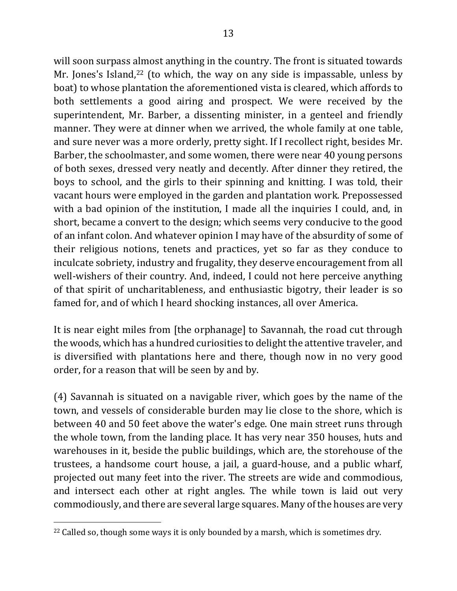will soon surpass almost anything in the country. The front is situated towards Mr. Jones's Island,<sup>22</sup> (to which, the way on any side is impassable, unless by boat) to whose plantation the aforementioned vista is cleared, which affords to both settlements a good airing and prospect. We were received by the superintendent, Mr. Barber, a dissenting minister, in a genteel and friendly manner. They were at dinner when we arrived, the whole family at one table, and sure never was a more orderly, pretty sight. If I recollect right, besides Mr. Barber, the schoolmaster, and some women, there were near 40 young persons of both sexes, dressed very neatly and decently. After dinner they retired, the boys to school, and the girls to their spinning and knitting. I was told, their vacant hours were employed in the garden and plantation work. Prepossessed with a bad opinion of the institution, I made all the inquiries I could, and, in short, became a convert to the design; which seems very conducive to the good of an infant colon. And whatever opinion I may have of the absurdity of some of their religious notions, tenets and practices, yet so far as they conduce to inculcate sobriety, industry and frugality, they deserve encouragement from all well-wishers of their country. And, indeed, I could not here perceive anything of that spirit of uncharitableness, and enthusiastic bigotry, their leader is so famed for, and of which I heard shocking instances, all over America.

It is near eight miles from [the orphanage] to Savannah, the road cut through the woods, which has a hundred curiosities to delight the attentive traveler, and is diversified with plantations here and there, though now in no very good order, for a reason that will be seen by and by.

(4) Savannah is situated on a navigable river, which goes by the name of the town, and vessels of considerable burden may lie close to the shore, which is between 40 and 50 feet above the water's edge. One main street runs through the whole town, from the landing place. It has very near 350 houses, huts and warehouses in it, beside the public buildings, which are, the storehouse of the trustees, a handsome court house, a jail, a guard-house, and a public wharf, projected out many feet into the river. The streets are wide and commodious, and intersect each other at right angles. The while town is laid out very commodiously, and there are several large squares. Many of the houses are very

 $\overline{\phantom{a}}$ 

 $22$  Called so, though some ways it is only bounded by a marsh, which is sometimes dry.